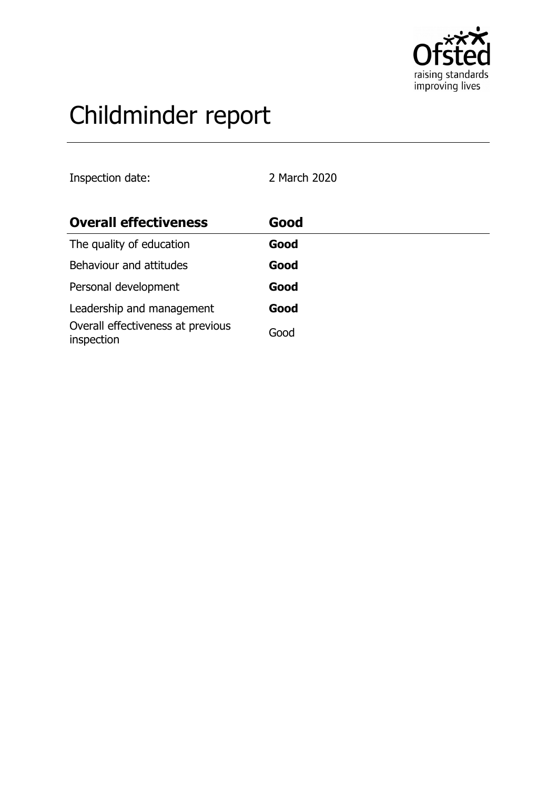

# Childminder report

Inspection date: 2 March 2020

| <b>Overall effectiveness</b>                    | Good |
|-------------------------------------------------|------|
| The quality of education                        | Good |
| Behaviour and attitudes                         | Good |
| Personal development                            | Good |
| Leadership and management                       | Good |
| Overall effectiveness at previous<br>inspection | Good |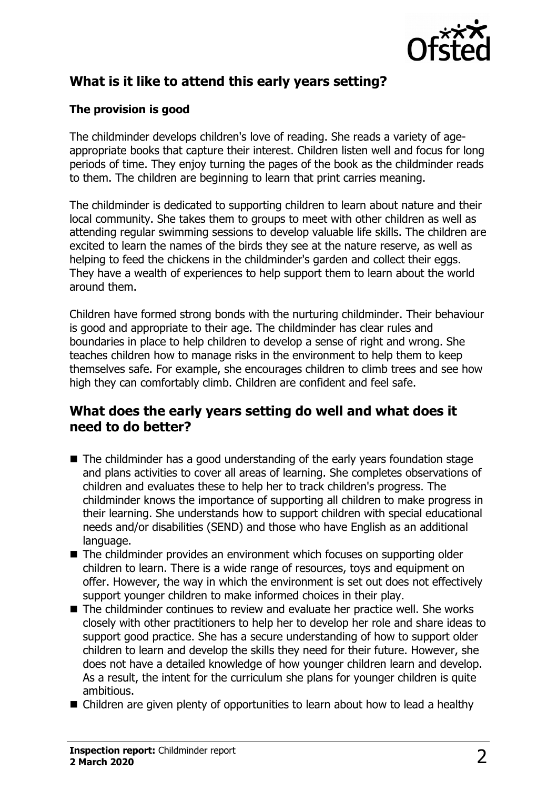

# **What is it like to attend this early years setting?**

### **The provision is good**

The childminder develops children's love of reading. She reads a variety of ageappropriate books that capture their interest. Children listen well and focus for long periods of time. They enjoy turning the pages of the book as the childminder reads to them. The children are beginning to learn that print carries meaning.

The childminder is dedicated to supporting children to learn about nature and their local community. She takes them to groups to meet with other children as well as attending regular swimming sessions to develop valuable life skills. The children are excited to learn the names of the birds they see at the nature reserve, as well as helping to feed the chickens in the childminder's garden and collect their eggs. They have a wealth of experiences to help support them to learn about the world around them.

Children have formed strong bonds with the nurturing childminder. Their behaviour is good and appropriate to their age. The childminder has clear rules and boundaries in place to help children to develop a sense of right and wrong. She teaches children how to manage risks in the environment to help them to keep themselves safe. For example, she encourages children to climb trees and see how high they can comfortably climb. Children are confident and feel safe.

## **What does the early years setting do well and what does it need to do better?**

- $\blacksquare$  The childminder has a good understanding of the early years foundation stage and plans activities to cover all areas of learning. She completes observations of children and evaluates these to help her to track children's progress. The childminder knows the importance of supporting all children to make progress in their learning. She understands how to support children with special educational needs and/or disabilities (SEND) and those who have English as an additional language.
- $\blacksquare$  The childminder provides an environment which focuses on supporting older children to learn. There is a wide range of resources, toys and equipment on offer. However, the way in which the environment is set out does not effectively support younger children to make informed choices in their play.
- $\blacksquare$  The childminder continues to review and evaluate her practice well. She works closely with other practitioners to help her to develop her role and share ideas to support good practice. She has a secure understanding of how to support older children to learn and develop the skills they need for their future. However, she does not have a detailed knowledge of how younger children learn and develop. As a result, the intent for the curriculum she plans for younger children is quite ambitious.
- $\blacksquare$  Children are given plenty of opportunities to learn about how to lead a healthy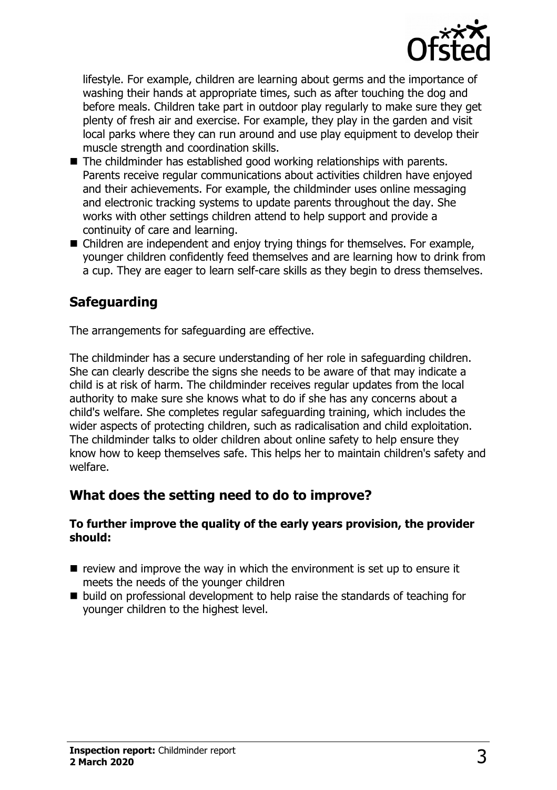

lifestyle. For example, children are learning about germs and the importance of washing their hands at appropriate times, such as after touching the dog and before meals. Children take part in outdoor play regularly to make sure they get plenty of fresh air and exercise. For example, they play in the garden and visit local parks where they can run around and use play equipment to develop their muscle strength and coordination skills.

- $\blacksquare$  The childminder has established good working relationships with parents. Parents receive regular communications about activities children have enjoyed and their achievements. For example, the childminder uses online messaging and electronic tracking systems to update parents throughout the day. She works with other settings children attend to help support and provide a continuity of care and learning.
- $\blacksquare$  Children are independent and enjoy trying things for themselves. For example, younger children confidently feed themselves and are learning how to drink from a cup. They are eager to learn self-care skills as they begin to dress themselves.

## **Safeguarding**

The arrangements for safeguarding are effective.

The childminder has a secure understanding of her role in safeguarding children. She can clearly describe the signs she needs to be aware of that may indicate a child is at risk of harm. The childminder receives regular updates from the local authority to make sure she knows what to do if she has any concerns about a child's welfare. She completes regular safeguarding training, which includes the wider aspects of protecting children, such as radicalisation and child exploitation. The childminder talks to older children about online safety to help ensure they know how to keep themselves safe. This helps her to maintain children's safety and welfare.

## **What does the setting need to do to improve?**

#### **To further improve the quality of the early years provision, the provider should:**

- $\blacksquare$  review and improve the way in which the environment is set up to ensure it meets the needs of the younger children
- $\blacksquare$  build on professional development to help raise the standards of teaching for younger children to the highest level.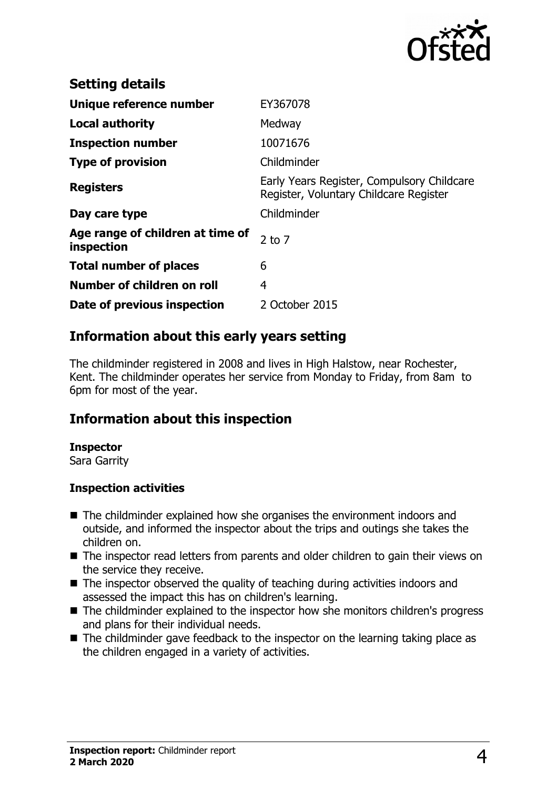

| <b>Setting details</b>                         |                                                                                      |
|------------------------------------------------|--------------------------------------------------------------------------------------|
| Unique reference number                        | EY367078                                                                             |
| <b>Local authority</b>                         | Medway                                                                               |
| <b>Inspection number</b>                       | 10071676                                                                             |
| <b>Type of provision</b>                       | Childminder                                                                          |
| <b>Registers</b>                               | Early Years Register, Compulsory Childcare<br>Register, Voluntary Childcare Register |
| Day care type                                  | Childminder                                                                          |
| Age range of children at time of<br>inspection | $2$ to $7$                                                                           |
| <b>Total number of places</b>                  | 6                                                                                    |
| Number of children on roll                     | 4                                                                                    |
| Date of previous inspection                    | 2 October 2015                                                                       |

## **Information about this early years setting**

The childminder registered in 2008 and lives in High Halstow, near Rochester, Kent. The childminder operates her service from Monday to Friday, from 8am to 6pm for most of the year.

## **Information about this inspection**

#### **Inspector**

Sara Garrity

#### **Inspection activities**

- $\blacksquare$  The childminder explained how she organises the environment indoors and outside, and informed the inspector about the trips and outings she takes the children on.
- The inspector read letters from parents and older children to gain their views on the service they receive.
- $\blacksquare$  The inspector observed the quality of teaching during activities indoors and assessed the impact this has on children's learning.
- The childminder explained to the inspector how she monitors children's progress and plans for their individual needs.
- The childminder gave feedback to the inspector on the learning taking place as the children engaged in a variety of activities.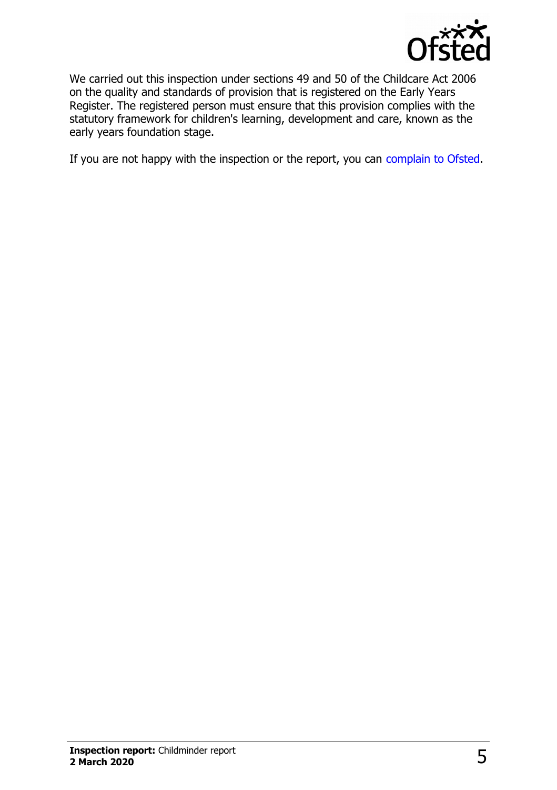

We carried out this inspection under sections 49 and 50 of the Childcare Act 2006 on the quality and standards of provision that is registered on the Early Years Register. The registered person must ensure that this provision complies with the statutory framework for children's learning, development and care, known as the early years foundation stage.

If you are not happy with the inspection or the report, you can [complain to Ofsted.](http://www.gov.uk/complain-ofsted-report)